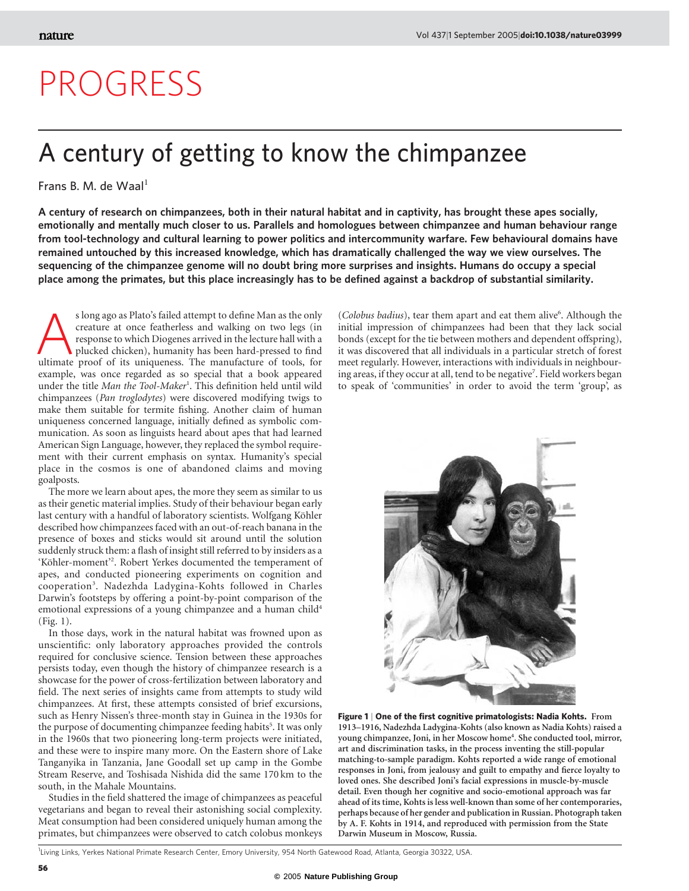# PROGRESS

## A century of getting to know the chimpanzee

### Frans B. M. de Waal $<sup>1</sup>$ </sup>

A century of research on chimpanzees, both in their natural habitat and in captivity, has brought these apes socially, emotionally and mentally much closer to us. Parallels and homologues between chimpanzee and human behaviour range from tool-technology and cultural learning to power politics and intercommunity warfare. Few behavioural domains have remained untouched by this increased knowledge, which has dramatically challenged the way we view ourselves. The sequencing of the chimpanzee genome will no doubt bring more surprises and insights. Humans do occupy a special place among the primates, but this place increasingly has to be defined against a backdrop of substantial similarity.

s long ago as Plato's failed attempt to define Man as the only creature at once featherless and walking on two legs (in response to which Diogenes arrived in the lecture hall with a plucked chicken), humanity has been hard creature at once featherless and walking on two legs (in response to which Diogenes arrived in the lecture hall with a plucked chicken), humanity has been hard-pressed to find ultimate proof of its uniqueness. The manufacture of tools, for example, was once regarded as so special that a book appeared under the title Man the Tool-Maker<sup>1</sup>. This definition held until wild chimpanzees (Pan troglodytes) were discovered modifying twigs to make them suitable for termite fishing. Another claim of human uniqueness concerned language, initially defined as symbolic communication. As soon as linguists heard about apes that had learned American Sign Language, however, they replaced the symbol requirement with their current emphasis on syntax. Humanity's special place in the cosmos is one of abandoned claims and moving goalposts.

The more we learn about apes, the more they seem as similar to us as their genetic material implies. Study of their behaviour began early last century with a handful of laboratory scientists. Wolfgang Köhler described how chimpanzees faced with an out-of-reach banana in the presence of boxes and sticks would sit around until the solution suddenly struck them: a flash of insight still referred to by insiders as a 'Köhler-moment'<sup>2</sup>. Robert Yerkes documented the temperament of apes, and conducted pioneering experiments on cognition and cooperation<sup>3</sup> . Nadezhda Ladygina-Kohts followed in Charles Darwin's footsteps by offering a point-by-point comparison of the emotional expressions of a young chimpanzee and a human child<sup>4</sup> (Fig. 1).

In those days, work in the natural habitat was frowned upon as unscientific: only laboratory approaches provided the controls required for conclusive science. Tension between these approaches persists today, even though the history of chimpanzee research is a showcase for the power of cross-fertilization between laboratory and field. The next series of insights came from attempts to study wild chimpanzees. At first, these attempts consisted of brief excursions, such as Henry Nissen's three-month stay in Guinea in the 1930s for the purpose of documenting chimpanzee feeding habits<sup>5</sup>. It was only in the 1960s that two pioneering long-term projects were initiated, and these were to inspire many more. On the Eastern shore of Lake Tanganyika in Tanzania, Jane Goodall set up camp in the Gombe Stream Reserve, and Toshisada Nishida did the same 170 km to the south, in the Mahale Mountains.

Studies in the field shattered the image of chimpanzees as peaceful vegetarians and began to reveal their astonishing social complexity. Meat consumption had been considered uniquely human among the primates, but chimpanzees were observed to catch colobus monkeys

(Colobus badius), tear them apart and eat them alive<sup>6</sup>. Although the initial impression of chimpanzees had been that they lack social bonds (except for the tie between mothers and dependent offspring), it was discovered that all individuals in a particular stretch of forest meet regularly. However, interactions with individuals in neighbouring areas, if they occur at all, tend to be negative<sup>7</sup>. Field workers began to speak of 'communities' in order to avoid the term 'group', as



Figure 1 | One of the first cognitive primatologists: Nadia Kohts. From 1913–1916, Nadezhda Ladygina-Kohts (also known as Nadia Kohts) raised a young chimpanzee, Joni, in her Moscow home<sup>4</sup>. She conducted tool, mirror, art and discrimination tasks, in the process inventing the still-popular matching-to-sample paradigm. Kohts reported a wide range of emotional responses in Joni, from jealousy and guilt to empathy and fierce loyalty to loved ones. She described Joni's facial expressions in muscle-by-muscle detail. Even though her cognitive and socio-emotional approach was far ahead of its time, Kohts is less well-known than some of her contemporaries, perhaps because of her gender and publication in Russian. Photograph taken by A. F. Kohts in 1914, and reproduced with permission from the State Darwin Museum in Moscow, Russia.

<sup>1</sup>Living Links, Yerkes National Primate Research Center, Emory University, 954 North Gatewood Road, Atlanta, Georgia 30322, USA.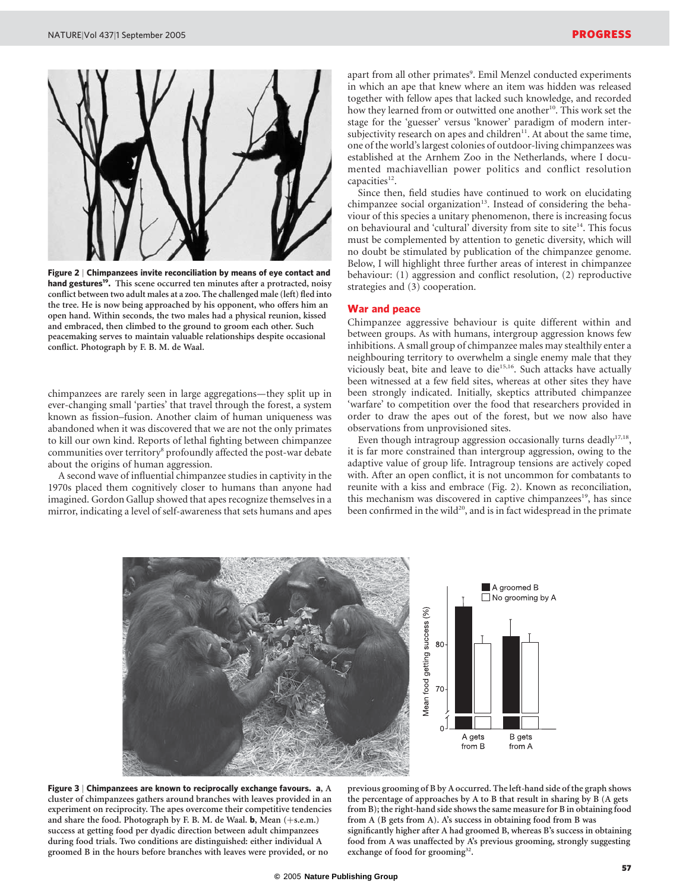

Figure 2 | Chimpanzees invite reconciliation by means of eye contact and hand gestures<sup>19</sup>. This scene occurred ten minutes after a protracted, noisy conflict between two adult males at a zoo. The challenged male (left) fled into the tree. He is now being approached by his opponent, who offers him an open hand. Within seconds, the two males had a physical reunion, kissed and embraced, then climbed to the ground to groom each other. Such peacemaking serves to maintain valuable relationships despite occasional conflict. Photograph by F. B. M. de Waal.

chimpanzees are rarely seen in large aggregations—they split up in ever-changing small 'parties' that travel through the forest, a system known as fission–fusion. Another claim of human uniqueness was abandoned when it was discovered that we are not the only primates to kill our own kind. Reports of lethal fighting between chimpanzee communities over territory<sup>8</sup> profoundly affected the post-war debate about the origins of human aggression.

A second wave of influential chimpanzee studies in captivity in the 1970s placed them cognitively closer to humans than anyone had imagined. Gordon Gallup showed that apes recognize themselves in a mirror, indicating a level of self-awareness that sets humans and apes

apart from all other primates<sup>9</sup>. Emil Menzel conducted experiments in which an ape that knew where an item was hidden was released together with fellow apes that lacked such knowledge, and recorded how they learned from or outwitted one another<sup>10</sup>. This work set the stage for the 'guesser' versus 'knower' paradigm of modern intersubjectivity research on apes and children<sup>11</sup>. At about the same time, one of the world's largest colonies of outdoor-living chimpanzees was established at the Arnhem Zoo in the Netherlands, where I documented machiavellian power politics and conflict resolution capacities<sup>12</sup>.

Since then, field studies have continued to work on elucidating chimpanzee social organization $13$ . Instead of considering the behaviour of this species a unitary phenomenon, there is increasing focus on behavioural and 'cultural' diversity from site to site<sup>14</sup>. This focus must be complemented by attention to genetic diversity, which will no doubt be stimulated by publication of the chimpanzee genome. Below, I will highlight three further areas of interest in chimpanzee behaviour: (1) aggression and conflict resolution, (2) reproductive strategies and (3) cooperation.

#### War and peace

Chimpanzee aggressive behaviour is quite different within and between groups. As with humans, intergroup aggression knows few inhibitions. A small group of chimpanzee males may stealthily enter a neighbouring territory to overwhelm a single enemy male that they viciously beat, bite and leave to die<sup>15,16</sup>. Such attacks have actually been witnessed at a few field sites, whereas at other sites they have been strongly indicated. Initially, skeptics attributed chimpanzee 'warfare' to competition over the food that researchers provided in order to draw the apes out of the forest, but we now also have observations from unprovisioned sites.

Even though intragroup aggression occasionally turns deadly<sup>17,18</sup>, it is far more constrained than intergroup aggression, owing to the adaptive value of group life. Intragroup tensions are actively coped with. After an open conflict, it is not uncommon for combatants to reunite with a kiss and embrace (Fig. 2). Known as reconciliation, this mechanism was discovered in captive chimpanzees<sup>19</sup>, has since been confirmed in the wild<sup>20</sup>, and is in fact widespread in the primate





previous grooming of B by A occurred. The left-hand side of the graph shows the percentage of approaches by A to B that result in sharing by B (A gets from B); the right-hand side shows the same measure for B in obtaining food from A (B gets from A). A's success in obtaining food from B was significantly higher after A had groomed B, whereas B's success in obtaining food from A was unaffected by A's previous grooming, strongly suggesting exchange of food for grooming<sup>32</sup>.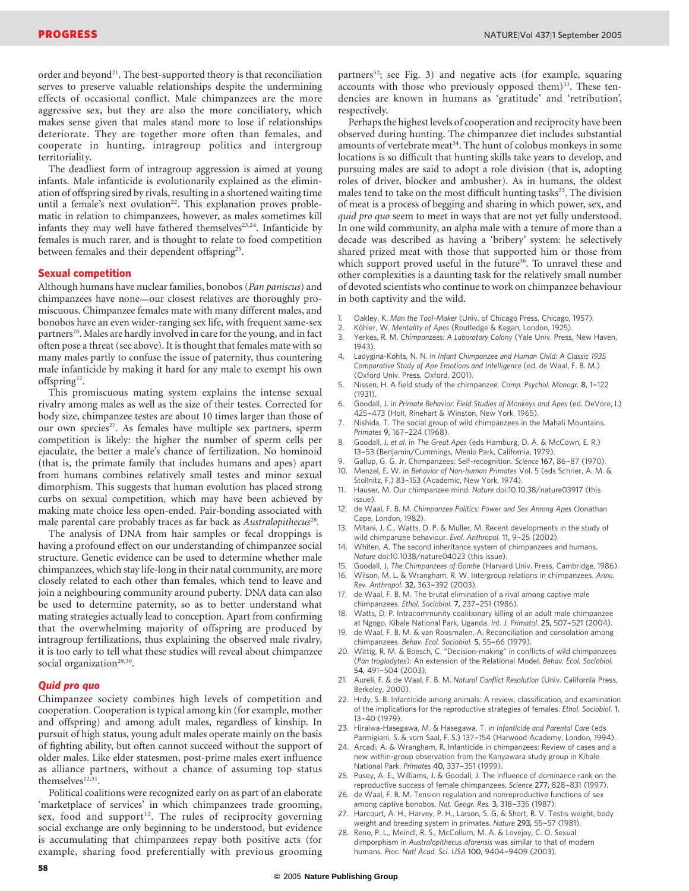order and beyond<sup>21</sup>. The best-supported theory is that reconciliation serves to preserve valuable relationships despite the undermining effects of occasional conflict. Male chimpanzees are the more aggressive sex, but they are also the more conciliatory, which makes sense given that males stand more to lose if relationships deteriorate. They are together more often than females, and cooperate in hunting, intragroup politics and intergroup territoriality.

The deadliest form of intragroup aggression is aimed at young infants. Male infanticide is evolutionarily explained as the elimination of offspring sired by rivals, resulting in a shortened waiting time until a female's next ovulation<sup>22</sup>. This explanation proves problematic in relation to chimpanzees, however, as males sometimes kill infants they may well have fathered themselves<sup>23,24</sup>. Infanticide by females is much rarer, and is thought to relate to food competition between females and their dependent offspring<sup>25</sup>.

#### Sexual competition

Although humans have nuclear families, bonobos (Pan paniscus) and chimpanzees have none—our closest relatives are thoroughly promiscuous. Chimpanzee females mate with many different males, and bonobos have an even wider-ranging sex life, with frequent same-sex partners<sup>26</sup>. Males are hardly involved in care for the young, and in fact often pose a threat (see above). It is thought that females mate with so many males partly to confuse the issue of paternity, thus countering male infanticide by making it hard for any male to exempt his own offspring<sup>22</sup>.

This promiscuous mating system explains the intense sexual rivalry among males as well as the size of their testes. Corrected for body size, chimpanzee testes are about 10 times larger than those of our own species<sup>27</sup>. As females have multiple sex partners, sperm competition is likely: the higher the number of sperm cells per ejaculate, the better a male's chance of fertilization. No hominoid (that is, the primate family that includes humans and apes) apart from humans combines relatively small testes and minor sexual dimorphism. This suggests that human evolution has placed strong curbs on sexual competition, which may have been achieved by making mate choice less open-ended. Pair-bonding associated with male parental care probably traces as far back as Australopithecus<sup>28</sup>.

The analysis of DNA from hair samples or fecal droppings is having a profound effect on our understanding of chimpanzee social structure. Genetic evidence can be used to determine whether male chimpanzees, which stay life-long in their natal community, are more closely related to each other than females, which tend to leave and join a neighbouring community around puberty. DNA data can also be used to determine paternity, so as to better understand what mating strategies actually lead to conception. Apart from confirming that the overwhelming majority of offspring are produced by intragroup fertilizations, thus explaining the observed male rivalry, it is too early to tell what these studies will reveal about chimpanzee social organization<sup>29,30</sup>.

#### Quid pro quo

Chimpanzee society combines high levels of competition and cooperation. Cooperation is typical among kin (for example, mother and offspring) and among adult males, regardless of kinship. In pursuit of high status, young adult males operate mainly on the basis of fighting ability, but often cannot succeed without the support of older males. Like elder statesmen, post-prime males exert influence as alliance partners, without a chance of assuming top status themselves<sup>12,31</sup>.

Political coalitions were recognized early on as part of an elaborate 'marketplace of services' in which chimpanzees trade grooming, sex, food and support<sup>12</sup>. The rules of reciprocity governing social exchange are only beginning to be understood, but evidence is accumulating that chimpanzees repay both positive acts (for example, sharing food preferentially with previous grooming

partners $32$ ; see Fig. 3) and negative acts (for example, squaring accounts with those who previously opposed them)<sup>33</sup>. These tendencies are known in humans as 'gratitude' and 'retribution', respectively.

Perhaps the highest levels of cooperation and reciprocity have been observed during hunting. The chimpanzee diet includes substantial amounts of vertebrate meat<sup>34</sup>. The hunt of colobus monkeys in some locations is so difficult that hunting skills take years to develop, and pursuing males are said to adopt a role division (that is, adopting roles of driver, blocker and ambusher). As in humans, the oldest males tend to take on the most difficult hunting tasks<sup>35</sup>. The division of meat is a process of begging and sharing in which power, sex, and quid pro quo seem to meet in ways that are not yet fully understood. In one wild community, an alpha male with a tenure of more than a decade was described as having a 'bribery' system: he selectively shared prized meat with those that supported him or those from which support proved useful in the future<sup>36</sup>. To unravel these and other complexities is a daunting task for the relatively small number of devoted scientists who continue to work on chimpanzee behaviour in both captivity and the wild.

- Oakley, K. Man the Tool-Maker (Univ. of Chicago Press, Chicago, 1957).
- 2. Köhler, W. Mentality of Apes (Routledge & Kegan, London, 1925)
- 3. Yerkes, R. M. Chimpanzees: A Laboratory Colony (Yale Univ. Press, New Haven, 1943).
- 4. Ladygina-Kohts, N. N. in Infant Chimpanzee and Human Child: A Classic 1935 Comparative Study of Ape Emotions and Intelligence (ed. de Waal, F. B. M.) (Oxford Univ. Press, Oxford, 2001).
- 5. Nissen, H. A field study of the chimpanzee. Comp. Psychol. Monogr. 8, 1-122 (1931).
- 6. Goodall, J. in Primate Behavior: Field Studies of Monkeys and Apes (ed. DeVore, I.) 425–-473 (Holt, Rinehart & Winston, New York, 1965).
- 7. Nishida, T. The social group of wild chimpanzees in the Mahali Mountains. Primates 9, 167-224 (1968).
- 8. Goodall, J. et al. in The Great Apes (eds Hamburg, D. A. & McCown, E. R.) 13-53 (Benjamin/Cummings, Menlo Park, California, 1979).
- Gallup, G. G. Jr. Chimpanzees: Self-recognition. Science 167, 86-87 (1970). 10. Menzel, E. W. in Behavior of Non-human Primates Vol. 5 (eds Schrier, A. M. &
- Stollnitz, F.) 83-153 (Academic, New York, 1974). 11. Hauser, M. Our chimpanzee mind. Nature doi:10.10.38/nature03917 (this
- issue).
- 12. de Waal, F. B. M. Chimpanzee Politics: Power and Sex Among Apes (Jonathan Cape, London, 1982).
- Mitani, J. C., Watts, D. P. & Muller, M. Recent developments in the study of wild chimpanzee behaviour. Evol. Anthropol. 11, 9-25 (2002).
- 14. Whiten, A. The second inheritance system of chimpanzees and humans. Nature doi:10.1038/nature04023 (this issue).
- 15. Goodall, J. The Chimpanzees of Gombe (Harvard Univ. Press, Cambridge, 1986). 16. Wilson, M. L. & Wrangham, R. W. Intergroup relations in chimpanzees. Annu.
- Rev. Anthropol. 32, 363-392 (2003). 17. de Waal, F. B. M. The brutal elimination of a rival among captive male
- chimpanzees. Ethol. Sociobiol. 7, 237-251 (1986).
- 18. Watts, D. P. Intracommunity coalitionary killing of an adult male chimpanzee at Ngogo, Kibale National Park, Uganda. Int. J. Primatol. 25, 507-521 (2004).
- 19. de Waal, F. B. M. & van Roosmalen, A. Reconciliation and consolation among chimpanzees. Behav. Ecol. Sociobiol. 5, 55-66 (1979).
- 20. Wittig, R. M. & Boesch, C. "Decision-making" in conflicts of wild chimpanzees (Pan troglodytes): An extension of the Relational Model. Behav. Ecol. Sociobiol. 54, 491-504 (2003).
- 21. Aureli, F. & de Waal, F. B. M. Natural Conflict Resolution (Univ. California Press, Berkeley, 2000).
- 22. Hrdy, S. B. Infanticide among animals: A review, classification, and examination of the implications for the reproductive strategies of females. Ethol. Sociobiol. 1, 13–-40 (1979).
- 23. Hiraiwa-Hasegawa, M. & Hasegawa, T. in Infanticide and Parental Care (eds Parmigiani, S. & vom Saal, F. S.) 137-154 (Harwood Academy, London, 1994).
- 24. Arcadi, A. & Wrangham, R. Infanticide in chimpanzees: Review of cases and a new within-group observation from the Kanyawara study group in Kibale National Park. Primates 40, 337-351 (1999).
- 25. Pusey, A. E., Williams, J. & Goodall, J. The influence of dominance rank on the reproductive success of female chimpanzees. Science 277, 828-831 (1997).
- 26. de Waal, F. B. M. Tension regulation and nonreproductive functions of sex among captive bonobos. Nat. Geogr. Res. 3, 318-335 (1987).
- 27. Harcourt, A. H., Harvey, P. H., Larson, S. G. & Short, R. V. Testis weight, body weight and breeding system in primates. Nature 293, 55-57 (1981).
- 28. Reno, P. L., Meindl, R. S., McCollum, M. A. & Lovejoy, C. O. Sexual dimporphism in Australopithecus afarensis was similar to that of modern humans. Proc. Natl Acad. Sci. USA 100, 9404-9409 (2003).